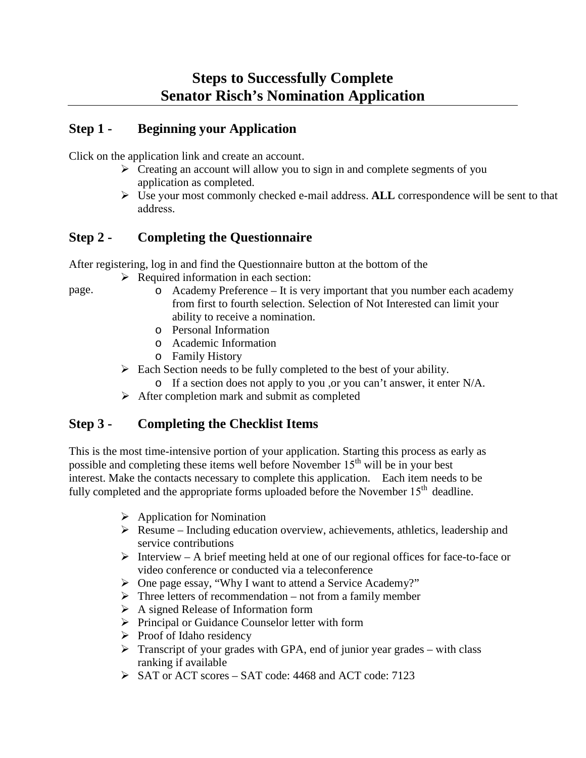## **Step 1 - Beginning your Application**

Click on the application link and create an account.

- $\triangleright$  Creating an account will allow you to sign in and complete segments of you application as completed.
- Use your most commonly checked e-mail address. **ALL** correspondence will be sent to that address.

## **Step 2 - Completing the Questionnaire**

After registering, log in and find the Questionnaire button at the bottom of the

 $\triangleright$  Required information in each section:

page.

- o Academy Preference It is very important that you number each academy from first to fourth selection. Selection of Not Interested can limit your ability to receive a nomination.
- o Personal Information
- o Academic Information
- o Family History
- $\triangleright$  Each Section needs to be fully completed to the best of your ability.
	- o If a section does not apply to you ,or you can't answer, it enter N/A.
- $\triangleright$  After completion mark and submit as completed

## **Step 3 - Completing the Checklist Items**

This is the most time-intensive portion of your application. Starting this process as early as possible and completing these items well before November 15<sup>th</sup> will be in your best interest. Make the contacts necessary to complete this application. Each item needs to be fully completed and the appropriate forms uploaded before the November  $15<sup>th</sup>$  deadline.

- $\triangleright$  Application for Nomination
- $\triangleright$  Resume Including education overview, achievements, athletics, leadership and service contributions
- $\triangleright$  Interview A brief meeting held at one of our regional offices for face-to-face or video conference or conducted via a teleconference
- One page essay, "Why I want to attend a Service Academy?"
- $\triangleright$  Three letters of recommendation not from a family member
- A signed Release of Information form
- $\triangleright$  Principal or Guidance Counselor letter with form
- $\triangleright$  Proof of Idaho residency
- $\triangleright$  Transcript of your grades with GPA, end of junior year grades with class ranking if available
- SAT or ACT scores SAT code: 4468 and ACT code: 7123